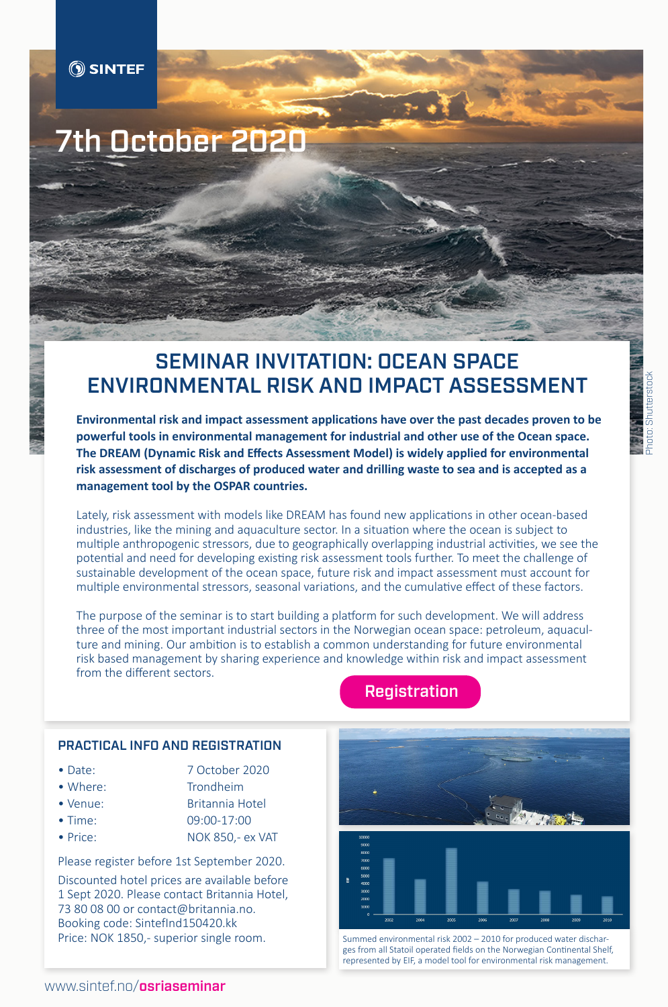# 7th October 2020

## SEMINAR INVITATION: OCEAN SPACE ENVIRONMENTAL RISK AND IMPACT ASSESSMENT

**Environmental risk and impact assessment applications have over the past decades proven to be powerful tools in environmental management for industrial and other use of the Ocean space. The DREAM (Dynamic Risk and Effects Assessment Model) is widely applied for environmental risk assessment of discharges of produced water and drilling waste to sea and is accepted as a management tool by the OSPAR countries.**

Lately, risk assessment with models like DREAM has found new applications in other ocean-based industries, like the mining and aquaculture sector. In a situation where the ocean is subject to multiple anthropogenic stressors, due to geographically overlapping industrial activities, we see the potential and need for developing existing risk assessment tools further. To meet the challenge of sustainable development of the ocean space, future risk and impact assessment must account for multiple environmental stressors, seasonal variations, and the cumulative effect of these factors.

The purpose of the seminar is to start building a platform for such development. We will address three of the most important industrial sectors in the Norwegian ocean space: petroleum, aquaculture and mining. Our ambition is to establish a common understanding for future environmental risk based management by sharing experience and knowledge within risk and impact assessment from the different sectors.

#### PRACTICAL INFO AND REGISTRATION

- Date: 7 October 2020
- 
- Where: Trondheim
- Venue: Britannia Hotel
- 
- 

• Time: 09:00-17:00

• Price: NOK 850,- ex VAT

Please register before 1st September 2020. Discounted hotel prices are available before 1 Sept 2020. Please contact Britannia Hotel, 73 80 08 00 or contact@britannia.no. Booking code: SintefInd150420.kk Price: NOK 1850,- superior single room.

### **[Registration](https://events.provisoevent.no/sintefocean/events/ocean-space-environmental-risk-and-impact-assessment-seminar/register)**





Summed environmental risk 2002 – 2010 for produced water discharges from all Statoil operated fields on the Norwegian Continental Shelf, represented by EIF, a model tool for environmental risk management.